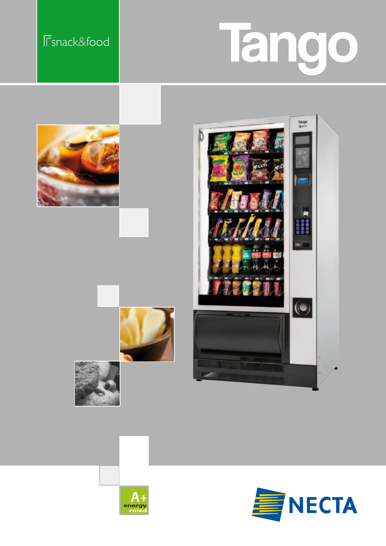# Fsnack&food Tango